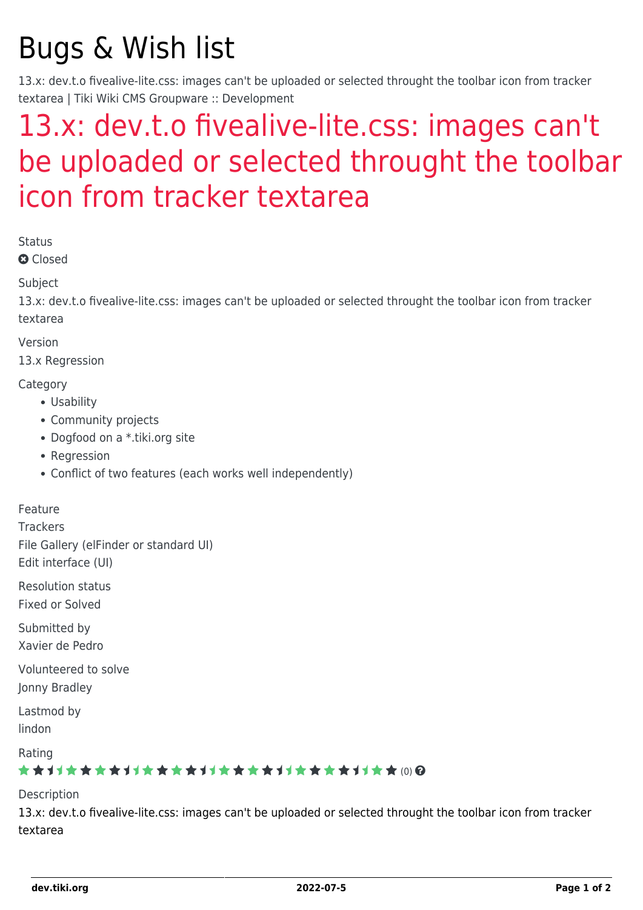# Bugs & Wish list

13.x: dev.t.o fivealive-lite.css: images can't be uploaded or selected throught the toolbar icon from tracker textarea | Tiki Wiki CMS Groupware :: Development

## [13.x: dev.t.o fivealive-lite.css: images can't](https://dev.tiki.org/item5321-13-x-dev-t-o-fivealive-lite-css-images-can-t-be-uploaded-or-selected-throught-the-toolbar-icon-from-tracker-textarea) [be uploaded or selected throught the toolbar](https://dev.tiki.org/item5321-13-x-dev-t-o-fivealive-lite-css-images-can-t-be-uploaded-or-selected-throught-the-toolbar-icon-from-tracker-textarea) [icon from tracker textarea](https://dev.tiki.org/item5321-13-x-dev-t-o-fivealive-lite-css-images-can-t-be-uploaded-or-selected-throught-the-toolbar-icon-from-tracker-textarea)

Status

**Q** Closed

Subject

13.x: dev.t.o fivealive-lite.css: images can't be uploaded or selected throught the toolbar icon from tracker textarea

Version

13.x Regression

**Category** 

- Usability
- Community projects
- Dogfood on a \*.tiki.org site
- Regression
- Conflict of two features (each works well independently)

Feature

**Trackers** 

File Gallery (elFinder or standard UI) Edit interface (UI)

Resolution status Fixed or Solved

Submitted by Xavier de Pedro

Volunteered to solve Jonny Bradley

Lastmod by lindon

Rating

#### ★★→★★★★→★★★★★→★★★★★★★★★★++★★ (0) @

Description

13.x: dev.t.o fivealive-lite.css: images can't be uploaded or selected throught the toolbar icon from tracker textarea